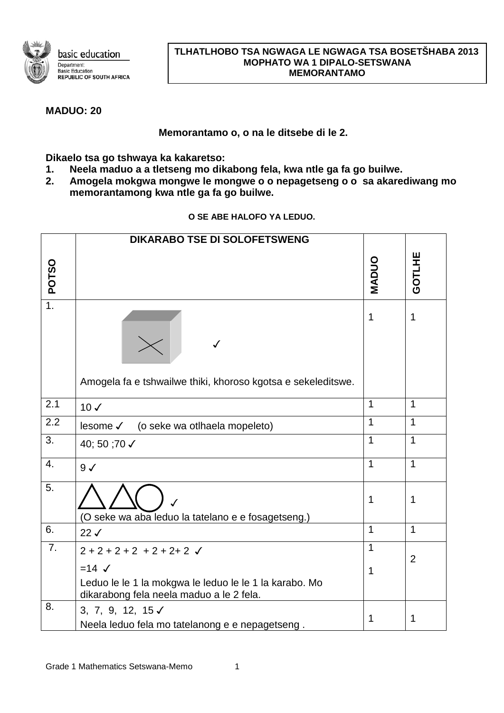

## **TLHATLHOBO TSA NGWAGA LE NGWAGA TSA BOSETŠHABA 2013 MOPHATO WA 1 DIPALO-SETSWANA MEMORANTAMO**

## **MADUO: 20**

**Memorantamo o, o na le ditsebe di le 2.**

**Dikaelo tsa go tshwaya ka kakaretso:**

- **1. Neela maduo a a tletseng mo dikabong fela, kwa ntle ga fa go builwe.**
- **2. Amogela mokgwa mongwe le mongwe o o nepagetseng o o sa akarediwang mo memorantamong kwa ntle ga fa go builwe.**

|                  | <b>DIKARABO TSE DI SOLOFETSWENG</b>                                                                                                                     |                            |                |
|------------------|---------------------------------------------------------------------------------------------------------------------------------------------------------|----------------------------|----------------|
| <b>POTSO</b>     |                                                                                                                                                         | MADUC                      | GOTLHE         |
| $\overline{1}$ . | ✓<br>Amogela fa e tshwailwe thiki, khoroso kgotsa e sekeleditswe.                                                                                       | $\mathbf 1$                | $\mathbf{1}$   |
| 2.1              | $10 \checkmark$                                                                                                                                         | $\mathbf{1}$               | $\mathbf{1}$   |
| $\overline{2.2}$ | (o seke wa otlhaela mopeleto)<br>lesome √                                                                                                               | $\mathbf{1}$               | $\mathbf{1}$   |
| 3.               | 40; 50 ;70 √                                                                                                                                            | $\overline{1}$             | $\mathbf{1}$   |
| 4.               | $9\checkmark$                                                                                                                                           | $\mathbf{1}$               | $\mathbf 1$    |
| 5.               | (O seke wa aba leduo la tatelano e e fosagetseng.)                                                                                                      | 1                          | 1              |
| 6.               | $22\checkmark$                                                                                                                                          | $\overline{1}$             | $\mathbf{1}$   |
| 7.               | $2 + 2 + 2 + 2 + 2 + 2 + 2$<br>$=14$ $\checkmark$<br>Leduo le le 1 la mokgwa le leduo le le 1 la karabo. Mo<br>dikarabong fela neela maduo a le 2 fela. | $\mathbf 1$<br>$\mathbf 1$ | $\overline{2}$ |
| 8.               | 3, 7, 9, 12, 15 $\checkmark$<br>Neela leduo fela mo tatelanong e e nepagetseng.                                                                         | 1                          | 1              |